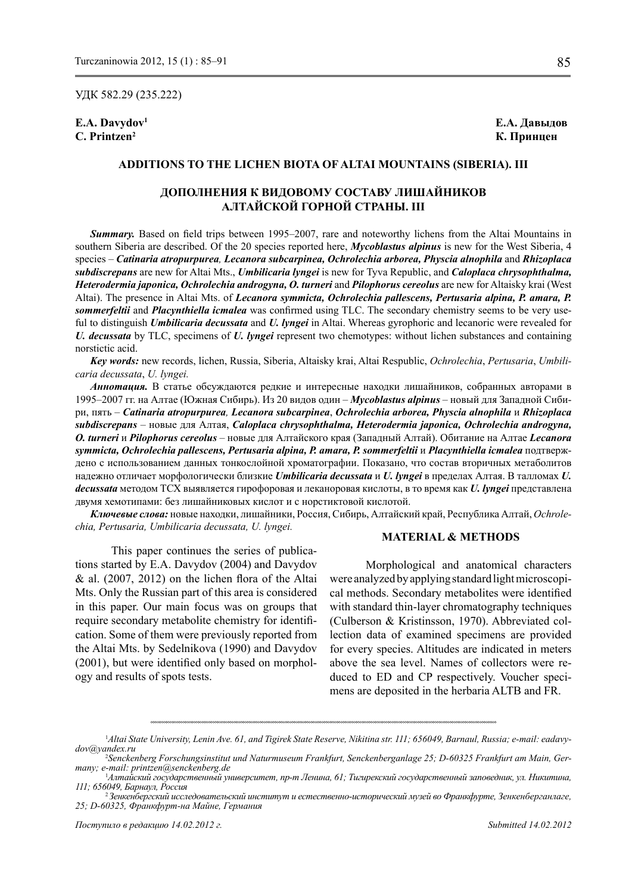УДК 582.29 (235.222)

# **C. Printzen2 К. Принцен**

**E.A. Davydov1 Е.А. Давыдов**

# **Additions to the lichen biota of Altai Mountains (Siberia). III**

# **Дополнения к видовому составу лишайников Алтайской горной страны. III**

**Summary.** Based on field trips between 1995–2007, rare and noteworthy lichens from the Altai Mountains in southern Siberia are described. Of the 20 species reported here, *Mycoblastus alpinus* is new for the West Siberia, 4 species – *Catinaria atropurpurea, Lecanora subcarpinea, Ochrolechia arborea, Physcia alnophila* and *Rhizoplaca subdiscrepans* are new for Altai Mts., *Umbilicaria lyngei* is new for Tyva Republic, and *Caloplaca chrysophthalma, Heterodermia japonica, Ochrolechia androgyna, O. turneri* and *Pilophorus cereolus* are new for Altaisky krai (West Altai). The presence in Altai Mts. of *Lecanora symmicta, Ochrolechia pallescens, Pertusaria alpina, P. amara, P. sommerfeltii* and *Placynthiella icmalea* was confirmed using TLC. The secondary chemistry seems to be very useful to distinguish *Umbilicaria decussata* and *U. lyngei* in Altai. Whereas gyrophoric and lecanoric were revealed for *U. decussata* by TLC, specimens of *U. lyngei* represent two chemotypes: without lichen substances and containing norstictic acid.

*Key words:* new records, lichen, Russia, Siberia, Altaisky krai, Altai Respublic, *Ochrolechia*, *Pertusaria*, *Umbilicaria decussata*, *U. lyngei.*

*Аннотация.* В статье обсуждаются редкие и интересные находки лишайников, собранных авторами в 1995–2007 гг. на Алтае (Южная Сибирь). Из 20 видов один – *Mycoblastus alpinus* – новый для Западной Сибири, пять – *Catinaria atropurpurea, Lecanora subcarpinea*, *Ochrolechia arborea, Physcia alnophila* и *Rhizoplaca subdiscrepans* – новые для Алтая, *Caloplaca chrysophthalma, Heterodermia japonica, Ochrolechia androgyna, O. turneri* и *Pilophorus cereolus* – новые для Алтайского края (Западный Алтай). Обитание на Алтае *Lecanora symmicta, Ochrolechia pallescens, Pertusaria alpina, P. amara, P. sommerfeltii* и *Placynthiella icmalea* подтверждено с использованием данных тонкослойной хроматографии. Показано, что состав вторичных метаболитов надежно отличает морфологически близкие *Umbilicaria decussata* и *U. lyngei* в пределах Алтая. В талломах *U. decussata* методом ТСХ выявляется гирофоровая и леканоровая кислоты, в то время как *U. lyngei* представлена двумя хемотипами: без лишайниковых кислот и с норстиктовой кислотой.

*Ключевые слова:* новые находки, лишайники, Россия, Сибирь, Алтайский край, Республика Алтай, *Ochrolechia, Pertusaria, Umbilicaria decussata, U. lyngei.*

This paper continues the series of publications started by E.A. Davydov (2004) and Davydov & al. (2007, 2012) on the lichen flora of the Altai Mts. Only the Russian part of this area is considered in this paper. Our main focus was on groups that require secondary metabolite chemistry for identification. Some of them were previously reported from the Altai Mts. by Sedelnikova (1990) and Davydov (2001), but were identified only based on morphology and results of spots tests.

## **MATERIAL & METHODS**

Morphological and anatomical characters were analyzed by applying standard light microscopical methods. Secondary metabolites were identified with standard thin-layer chromatography techniques (Culberson & Kristinsson, 1970). Abbreviated collection data of examined specimens are provided for every species. Altitudes are indicated in meters above the sea level. Names of collectors were reduced to ED and CP respectively. Voucher specimens are deposited in the herbaria ALTB and FR.

<sup>&</sup>lt;sup>1</sup>Altai State University, Lenin Ave. 61, and Tigirek State Reserve, Nikitina str. 111; 656049, Barnaul, Russia; e-mail: eadavy*dov@yandex.ru* <sup>2</sup>

*Senckenberg Forschungsinstitut und Naturmuseum Frankfurt, Senckenberganlage 25; D-60325 Frankfurt am Main, Germany; e-mail: printzen@senckenberg.de* <sup>1</sup>

*Алтайский государственный университет, пр-т Ленина, 61; Тигирекский государственный заповедник, ул. Никитина,* 

<sup>&</sup>lt;sup>2</sup> Зенкенбергский исследовательский институт и естественно-исторический музей во Франкфурте, Зенкенберганлаге, *25; D-60325, Франкфурт-на Майне, Германия*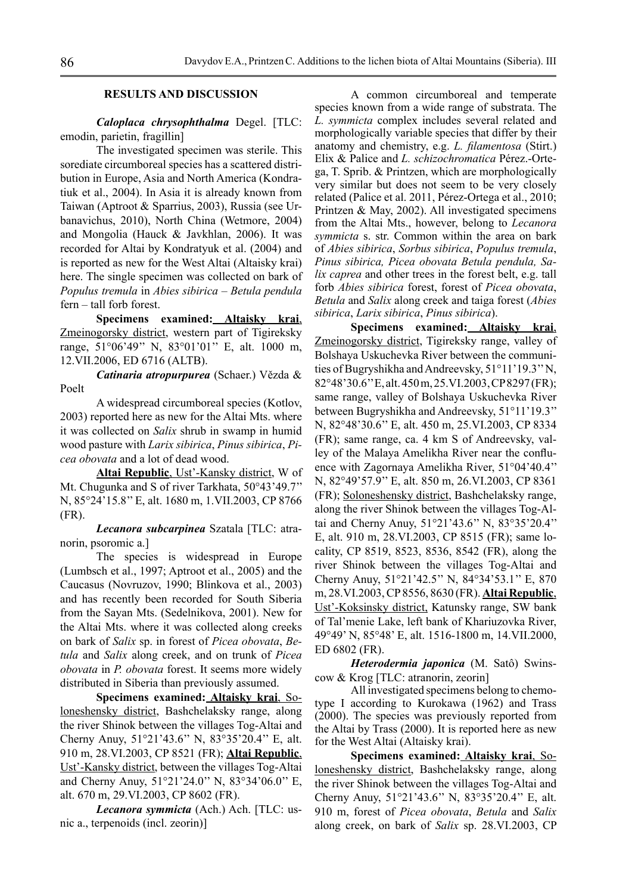## **RESULTS AND DISCUSSION**

*Caloplaca chrysophthalma* Degel. [TLC: emodin, parietin, fragillin]

The investigated specimen was sterile. This sorediate circumboreal species has a scattered distribution in Europe, Asia and North America (Kondratiuk et al., 2004). In Asia it is already known from Taiwan (Aptroot & Sparrius, 2003), Russia (see Urbanavichus, 2010), North China (Wetmore, 2004) and Mongolia (Hauck & Javkhlan, 2006). It was recorded for Altai by Kondratyuk et al. (2004) and is reported as new for the West Altai (Altaisky krai) here. The single specimen was collected on bark of *Populus tremula* in *Abies sibirica* – *Betula pendula*  fern – tall forb forest.

**Specimens examined: Altaisky krai**, Zmeinogorsky district, western part of Tigireksky range, 51°06'49'' N, 83°01'01'' E, alt. 1000 m, 12.VII.2006, ED 6716 (ALTB).

*Catinaria atropurpurea* (Schaer.) Vězda & Poelt

A widespread circumboreal species (Kotlov, 2003) reported here as new for the Altai Mts. where it was collected on *Salix* shrub in swamp in humid wood pasture with *Larix sibirica*, *Pinus sibirica*, *Picea obovata* and a lot of dead wood.

**Altai Republic**, Ust'-Kansky district, W of Mt. Chugunka and S of river Tarkhata, 50°43'49.7'' N, 85°24'15.8'' E, alt. 1680 m, 1.VII.2003, CP 8766 (FR).

*Lecanora subcarpinea* Szatala [TLC: atranorin, psoromic a.]

The species is widespread in Europe (Lumbsch et al., 1997; Aptroot et al., 2005) and the Caucasus (Novruzov, 1990; Вlinkova et al., 2003) and has recently been recorded for South Siberia from the Sayan Mts. (Sedelnikova, 2001). New for the Altai Mts. where it was collected along creeks on bark of *Salix* sp. in forest of *Picea obovata*, *Betula* and *Salix* along creek, and on trunk of *Picea obovata* in *P. obovata* forest. It seems more widely distributed in Siberia than previously assumed.

**Specimens examined: Altaisky krai**, Soloneshensky district, Bashchelaksky range, along the river Shinok between the villages Tog-Altai and Cherny Anuy, 51°21'43.6'' N, 83°35'20.4'' E, alt. 910 m, 28.VI.2003, CP 8521 (FR); **Altai Republic**, Ust'-Kansky district, between the villages Tog-Altai and Cherny Anuy, 51°21'24.0'' N, 83°34'06.0'' E, alt. 670 m, 29.VI.2003, CP 8602 (FR).

*Lecanora symmicta* (Ach.) Ach. [TLC: usnic a., terpenoids (incl. zeorin)]

A common circumboreal and temperate species known from a wide range of substrata. The *L. symmicta* complex includes several related and morphologically variable species that differ by their anatomy and chemistry, e.g. *L. filamentosa* (Stirt.) Elix & Palice and *L. schizochromatica* Pérez.-Ortega, T. Sprib. & Printzen, which are morphologically very similar but does not seem to be very closely related (Palice et al. 2011, Pérez-Ortega et al., 2010; Printzen & May, 2002). All investigated specimens from the Altai Mts., however, belong to *Lecanora symmicta* s. str. Common within the area on bark of *Abies sibirica*, *Sorbus sibirica*, *Populus tremula*, *Pinus sibirica, Picea obovata Betula pendula, Salix caprea* and other trees in the forest belt, e.g. tall forb *Abies sibirica* forest, forest of *Picea obovata*, *Betula* and *Salix* along creek and taiga forest (*Abies sibirica*, *Larix sibirica*, *Pinus sibirica*).

**Specimens examined: Altaisky krai**, Zmeinogorsky district, Tigireksky range, valley of Bolshaya Uskuchevka River between the communities of Bugryshikha and Andreevsky, 51°11'19.3'' N, 82°48'30.6'' E, alt. 450 m, 25.VI.2003, CP 8297 (FR); same range, valley of Bolshaya Uskuchevka River between Bugryshikha and Andreevsky, 51°11'19.3'' N, 82°48'30.6'' E, alt. 450 m, 25.VI.2003, CP 8334 (FR); same range, ca. 4 km S of Andreevsky, valley of the Malaya Amelikha River near the confluence with Zagornaya Amelikha River, 51°04'40.4'' N, 82°49'57.9'' E, alt. 850 m, 26.VI.2003, CP 8361 (FR); Soloneshensky district, Bashchelaksky range, along the river Shinok between the villages Tog-Altai and Cherny Anuy, 51°21'43.6'' N, 83°35'20.4'' E, alt. 910 m, 28.VI.2003, CP 8515 (FR); same locality, CP 8519, 8523, 8536, 8542 (FR), along the river Shinok between the villages Tog-Altai and Cherny Anuy, 51°21'42.5'' N, 84°34'53.1'' E, 870 m, 28.VI.2003, CP 8556, 8630 (FR). **Altai Republic**, Ust'-Koksinsky district, Katunsky range, SW bank of Tal'menie Lake, left bank of Khariuzovka River, 49°49' N, 85°48' E, alt. 1516-1800 m, 14.VII.2000, ED 6802 (FR).

*Heterodermia japonica* (M. Satô) Swinscow & Krog [TLC: atranorin, zeorin]

All investigated specimens belong to chemotype I according to Kurokawa (1962) and Trass (2000). The species was previously reported from the Altai by Trass (2000). It is reported here as new for the West Altai (Altaisky krai).

**Specimens examined: Altaisky krai**, Soloneshensky district, Bashchelaksky range, along the river Shinok between the villages Tog-Altai and Cherny Anuy, 51°21'43.6'' N, 83°35'20.4'' E, alt. 910 m, forest of *Picea obovata*, *Betula* and *Salix* along creek, on bark of *Salix* sp. 28.VI.2003, CP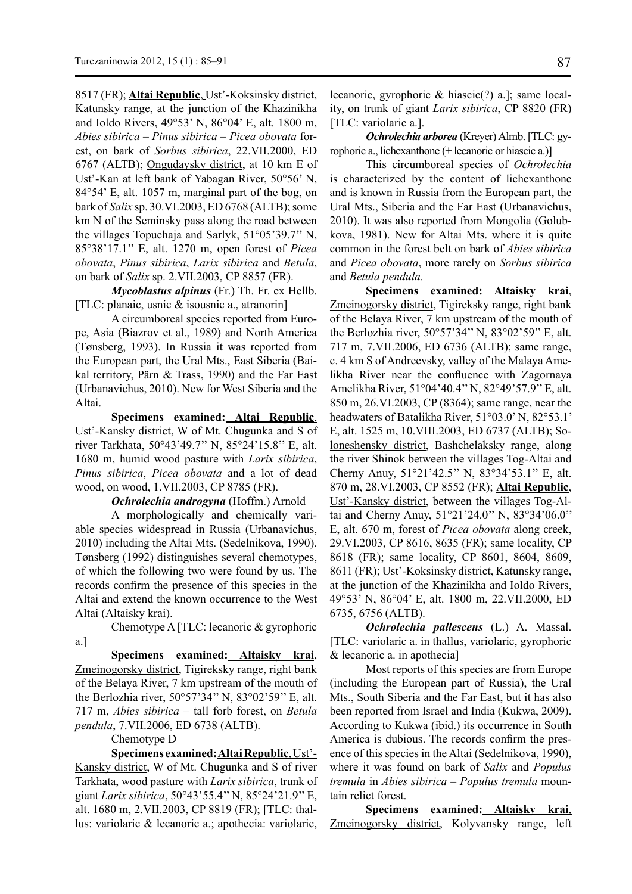8517 (FR); **Altai Republic**, Ust'-Koksinsky district, Katunsky range, at the junction of the Khazinikha and Ioldo Rivers, 49°53' N, 86°04' E, alt. 1800 m, *Abies sibirica* – *Pinus sibirica* – *Picea obovata* forest, on bark of *Sorbus sibirica*, 22.VII.2000, ED 6767 (ALTB); Ongudaysky district, at 10 km E of Ust'-Kan at left bank of Yabagan River, 50°56' N, 84°54' E, alt. 1057 m, marginal part of the bog, on bark of *Salix* sp. 30.VI.2003, ED 6768 (ALTB); some km N of the Seminsky pass along the road between the villages Topuchaja and Sarlyk, 51°05'39.7'' N, 85°38'17.1'' E, alt. 1270 m, open forest of *Picea obovata*, *Pinus sibirica*, *Larix sibirica* and *Betula*, on bark of *Salix* sp. 2.VII.2003, CP 8857 (FR).

*Mycoblastus alpinus* (Fr.) Th. Fr. ex Hellb. [TLC: planaic, usnic & isousnic a., atranorin]

A circumboreal species reported from Europe, Asia (Biazrov et al., 1989) and North America (Tønsberg, 1993). In Russia it was reported from the European part, the Ural Mts., East Siberia (Baikal territory, Pärn & Trass, 1990) and the Far East (Urbanavichus, 2010). New for West Siberia and the Altai.

**Specimens examined: Altai Republic**, Ust'-Kansky district, W of Mt. Chugunka and S of river Tarkhata, 50°43'49.7'' N, 85°24'15.8'' E, alt. 1680 m, humid wood pasture with *Larix sibirica*, *Pinus sibirica*, *Picea obovata* and a lot of dead wood, on wood, 1.VII.2003, CP 8785 (FR).

# *Ochrolechia androgyna* (Hoffm.) Arnold

A morphologically and chemically variable species widespread in Russia (Urbanavichus, 2010) including the Altai Mts. (Sedelnikova, 1990). Tønsberg (1992) distinguishes several chemotypes, of which the following two were found by us. The records confirm the presence of this species in the Altai and extend the known occurrence to the West Altai (Altaisky krai).

Chemotype A [TLC: lecanoric & gyrophoric a.]

**Specimens examined: Altaisky krai**, Zmeinogorsky district, Tigireksky range, right bank of the Belaya River, 7 km upstream of the mouth of the Berlozhia river, 50°57'34'' N, 83°02'59'' E, alt. 717 m, *Abies sibirica* – tall forb forest, on *Betula pendula*, 7.VII.2006, ED 6738 (ALTB).

#### Chemotype D

**Specimens examined:Altai Republic**, Ust'-Kansky district, W of Mt. Chugunka and S of river Tarkhata, wood pasture with *Larix sibirica*, trunk of giant *Larix sibirica*, 50°43'55.4'' N, 85°24'21.9'' E, alt. 1680 m, 2.VII.2003, CP 8819 (FR); [TLC: thallus: variolaric & lecanoric a.; apothecia: variolaric,

lecanoric, gyrophoric & hiascic(?) a.]; same locality, on trunk of giant *Larix sibirica*, CP 8820 (FR) [TLC: variolaric a.].

*Ochrolechia arborea* (Kreyer) Almb. [TLC: gyrophoric a., lichexanthone (+ lecanoric or hiascic a.)]

This circumboreal species of *Ochrolechia*  is characterized by the content of lichexanthone and is known in Russia from the European part, the Ural Mts., Siberia and the Far East (Urbanavichus, 2010). It was also reported from Mongolia (Golubkova, 1981). New for Altai Mts. where it is quite common in the forest belt on bark of *Abies sibirica* and *Picea obovata*, more rarely on *Sorbus sibirica* and *Betula pendula.*

**Specimens examined: Altaisky krai**, Zmeinogorsky district, Tigireksky range, right bank of the Belaya River, 7 km upstream of the mouth of the Berlozhia river, 50°57'34'' N, 83°02'59'' E, alt. 717 m, 7.VII.2006, ED 6736 (ALTB); same range, c. 4 km S of Andreevsky, valley of the Malaya Amelikha River near the confluence with Zagornaya Amelikha River, 51°04'40.4'' N, 82°49'57.9'' E, alt. 850 m, 26.VI.2003, CP (8364); same range, near the headwaters of Batalikha River, 51°03.0' N, 82°53.1' E, alt. 1525 m, 10.VIII.2003, ED 6737 (ALTB); Soloneshensky district, Bashchelaksky range, along the river Shinok between the villages Tog-Altai and Cherny Anuy, 51°21'42.5'' N, 83°34'53.1'' E, alt. 870 m, 28.VI.2003, CP 8552 (FR); **Altai Republic**, Ust'-Kansky district, between the villages Tog-Altai and Cherny Anuy, 51°21'24.0'' N, 83°34'06.0'' E, alt. 670 m, forest of *Picea obovata* along creek, 29.VI.2003, CP 8616, 8635 (FR); same locality, CP 8618 (FR); same locality, CP 8601, 8604, 8609, 8611 (FR); Ust'-Koksinsky district, Katunsky range, at the junction of the Khazinikha and Ioldo Rivers, 49°53' N, 86°04' E, alt. 1800 m, 22.VII.2000, ED 6735, 6756 (ALTB).

*Ochrolechia pallescens* (L.) A. Massal. [TLC: variolaric a. in thallus, variolaric, gyrophoric & lecanoric a. in apothecia]

Most reports of this species are from Europe (including the European part of Russia), the Ural Mts., South Siberia and the Far East, but it has also been reported from Israel and India (Kukwa, 2009). According to Kukwa (ibid.) its occurrence in South America is dubious. The records confirm the presence of this species in the Altai (Sedelnikova, 1990), where it was found on bark of *Salix* and *Populus tremula* in *Abies sibirica* – *Populus tremula* mountain relict forest.

**Specimens examined: Altaisky krai**, Zmeinogorsky district, Kolyvansky range, left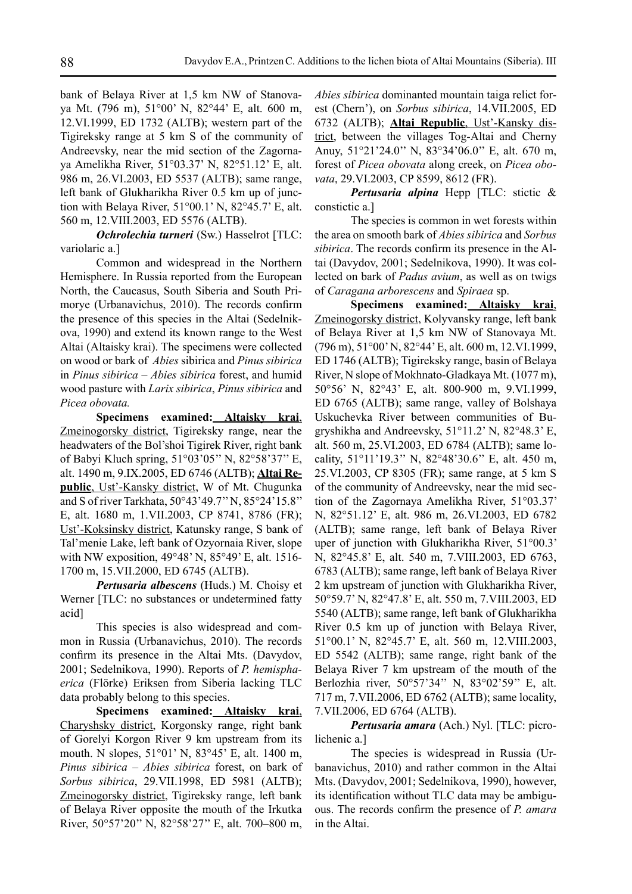bank of Belaya River at 1,5 km NW of Stanovaya Mt. (796 m), 51°00' N, 82°44' E, alt. 600 m, 12.VI.1999, ED 1732 (ALTB); western part of the Tigireksky range at 5 km S of the community of Andreevsky, near the mid section of the Zagornaya Amelikha River, 51°03.37' N, 82°51.12' E, alt. 986 m, 26.VI.2003, ED 5537 (ALTB); same range, left bank of Glukharikha River 0.5 km up of junction with Belaya River, 51°00.1' N, 82°45.7' E, alt. 560 m, 12.VIII.2003, ED 5576 (ALTB).

*Ochrolechia turneri* (Sw.) Hasselrot [TLC: variolaric a.]

Common and widespread in the Northern Hemisphere. In Russia reported from the European North, the Caucasus, South Siberia and South Primorye (Urbanavichus, 2010). The records confirm the presence of this species in the Altai (Sedelnikova, 1990) and extend its known range to the West Altai (Altaisky krai). The specimens were collected on wood or bark of *Abies* sibirica and *Pinus sibirica* in *Pinus sibirica* – *Abies sibirica* forest, and humid wood pasture with *Larix sibirica*, *Pinus sibirica* and *Picea obovata.*

**Specimens examined: Altaisky krai**, Zmeinogorsky district, Tigireksky range, near the headwaters of the Bol'shoi Tigirek River, right bank of Babyi Kluch spring, 51°03'05'' N, 82°58'37'' E, alt. 1490 m, 9.IX.2005, ED 6746 (ALTB); **Altai Republic**, Ust'-Kansky district, W of Mt. Chugunka and S of river Tarkhata, 50°43'49.7'' N, 85°24'15.8'' E, alt. 1680 m, 1.VII.2003, CP 8741, 8786 (FR); Ust'-Koksinsky district, Katunsky range, S bank of Tal'menie Lake, left bank of Ozyornaia River, slope with NW exposition, 49°48' N, 85°49' E, alt. 1516-1700 m, 15.VII.2000, ED 6745 (ALTB).

*Pertusaria albescens* (Huds.) M. Choisy et Werner [TLC: no substances or undetermined fatty acid]

This species is also widespread and common in Russia (Urbanavichus, 2010). The records confirm its presence in the Altai Mts. (Davydov, 2001; Sedelnikova, 1990). Reports of *P. hemisphaerica* (Flörke) Eriksen from Siberia lacking TLC data probably belong to this species.

**Specimens examined: Altaisky krai**, Charyshsky district, Korgonsky range, right bank of Gorelyi Korgon River 9 km upstream from its mouth. N slopes, 51°01' N, 83°45' E, alt. 1400 m, *Pinus sibirica* – *Abies sibirica* forest, on bark of *Sorbus sibirica*, 29.VII.1998, ED 5981 (ALTB); Zmeinogorsky district, Tigireksky range, left bank of Belaya River opposite the mouth of the Irkutka River, 50°57'20'' N, 82°58'27'' E, alt. 700–800 m, *Abies sibirica* dominanted mountain taiga relict forest (Chern'), on *Sorbus sibirica*, 14.VII.2005, ED 6732 (ALTB); **Altai Republic**, Ust'-Kansky district, between the villages Tog-Altai and Cherny Anuy, 51°21'24.0'' N, 83°34'06.0'' E, alt. 670 m, forest of *Picea obovata* along creek, on *Picea obovata*, 29.VI.2003, CP 8599, 8612 (FR).

*Pertusaria alpina* Hepp [TLC: stictic & constictic a.]

The species is common in wet forests within the area on smooth bark of *Abies sibirica* and *Sorbus sibirica*. The records confirm its presence in the Altai (Davydov, 2001; Sedelnikova, 1990). It was collected on bark of *Padus avium*, as well as on twigs of *Caragana arborescens* and *Spiraea* sp.

**Specimens examined: Altaisky krai**, Zmeinogorsky district, Kolyvansky range, left bank of Belaya River at 1,5 km NW of Stanovaya Mt. (796 m), 51°00' N, 82°44' E, alt. 600 m, 12.VI.1999, ED 1746 (ALTB); Tigireksky range, basin of Belaya River, N slope of Mokhnato-Gladkaya Mt. (1077 m), 50°56' N, 82°43' E, alt. 800-900 m, 9.VI.1999, ED 6765 (ALTB); same range, valley of Bolshaya Uskuchevka River between communities of Bugryshikha and Andreevsky, 51°11.2' N, 82°48.3' E, alt. 560 m, 25.VI.2003, ED 6784 (ALTB); same locality, 51°11'19.3'' N, 82°48'30.6'' E, alt. 450 m, 25.VI.2003, CP 8305 (FR); same range, at 5 km S of the community of Andreevsky, near the mid section of the Zagornaya Amelikha River, 51°03.37' N, 82°51.12' E, alt. 986 m, 26.VI.2003, ED 6782 (ALTB); same range, left bank of Belaya River uper of junction with Glukharikha River, 51°00.3' N, 82°45.8' E, alt. 540 m, 7.VIII.2003, ED 6763, 6783 (ALTB); same range, left bank of Belaya River 2 km upstream of junction with Glukharikha River, 50°59.7' N, 82°47.8' E, alt. 550 m, 7.VIII.2003, ED 5540 (ALTB); same range, left bank of Glukharikha River 0.5 km up of junction with Belaya River, 51°00.1' N, 82°45.7' E, alt. 560 m, 12.VIII.2003, ED 5542 (ALTB); same range, right bank of the Belaya River 7 km upstream of the mouth of the Berlozhia river, 50°57'34'' N, 83°02'59'' E, alt. 717 m, 7.VII.2006, ED 6762 (ALTB); same locality, 7.VII.2006, ED 6764 (ALTB).

*Pertusaria amara* (Ach.) Nyl. [TLC: picrolichenic a.]

The species is widespread in Russia (Urbanavichus, 2010) and rather common in the Altai Mts. (Davydov, 2001; Sedelnikova, 1990), however, its identification without TLC data may be ambiguous. The records confirm the presence of *P. amara*  in the Altai.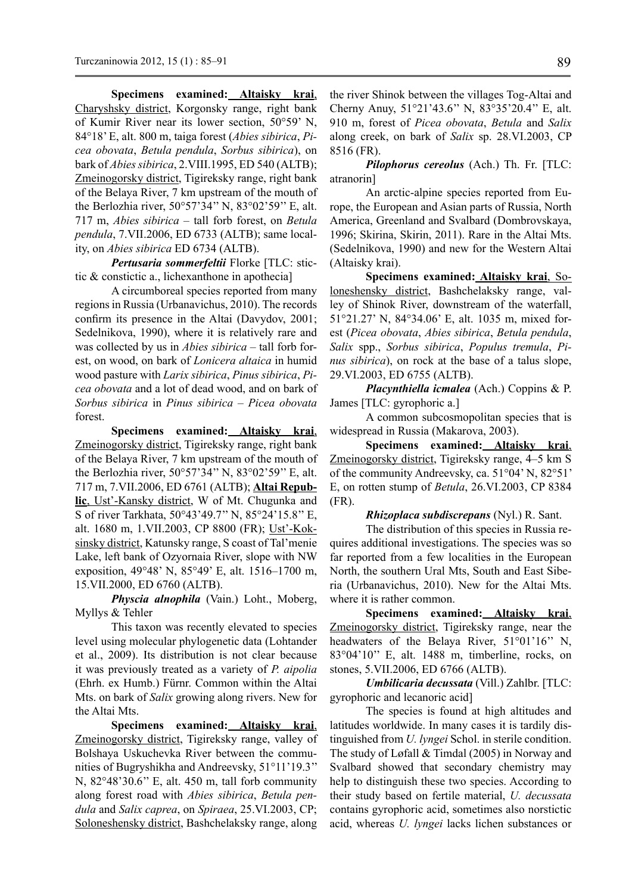**Specimens examined: Altaisky krai**, Charyshsky district, Korgonsky range, right bank of Kumir River near its lower section, 50°59' N, 84°18' E, alt. 800 m, taiga forest (*Abies sibirica*, *Picea obovata*, *Betula pendula*, *Sorbus sibirica*), on bark of *Abies sibirica*, 2.VIII.1995, ED 540 (ALTB); Zmeinogorsky district, Tigireksky range, right bank of the Belaya River, 7 km upstream of the mouth of the Berlozhia river, 50°57'34'' N, 83°02'59'' E, alt. 717 m, *Abies sibirica* – tall forb forest, on *Betula pendula*, 7.VII.2006, ED 6733 (ALTB); same locality, on *Abies sibirica* ED 6734 (ALTB).

*Pertusaria sommerfeltii* Florke [TLC: stictic & constictic a., lichexanthone in apothecia]

A circumboreal species reported from many regions in Russia (Urbanavichus, 2010). The records confirm its presence in the Altai (Davydov, 2001; Sedelnikova, 1990), where it is relatively rare and was collected by us in *Abies sibirica* – tall forb forest, on wood, on bark of *Lonicera altaica* in humid wood pasture with *Larix sibirica*, *Pinus sibirica*, *Picea obovata* and a lot of dead wood, and on bark of *Sorbus sibirica* in *Pinus sibirica* – *Picea obovata*  forest.

**Specimens examined: Altaisky krai**, Zmeinogorsky district, Tigireksky range, right bank of the Belaya River, 7 km upstream of the mouth of the Berlozhia river, 50°57'34'' N, 83°02'59'' E, alt. 717 m, 7.VII.2006, ED 6761 (ALTB); **Altai Republic**, Ust'-Kansky district, W of Mt. Chugunka and S of river Tarkhata, 50°43'49.7'' N, 85°24'15.8'' E, alt. 1680 m, 1.VII.2003, CP 8800 (FR); Ust'-Koksinsky district, Katunsky range, S coast of Tal'menie Lake, left bank of Ozyornaia River, slope with NW exposition, 49°48' N, 85°49' E, alt. 1516–1700 m, 15.VII.2000, ED 6760 (ALTB).

*Physcia alnophila* (Vain.) Loht., Moberg, Myllys & Tehler

This taxon was recently elevated to species level using molecular phylogenetic data (Lohtander et al., 2009). Its distribution is not clear because it was previously treated as a variety of *P. aipolia* (Ehrh. ex Humb.) Fürnr. Common within the Altai Mts. on bark of *Salix* growing along rivers. New for the Altai Mts.

**Specimens examined: Altaisky krai**, Zmeinogorsky district, Tigireksky range, valley of Bolshaya Uskuchevka River between the communities of Bugryshikha and Andreevsky, 51°11'19.3'' N, 82°48'30.6'' E, alt. 450 m, tall forb community along forest road with *Abies sibirica*, *Betula pendula* and *Salix caprea*, on *Spiraea*, 25.VI.2003, CP; Soloneshensky district, Bashchelaksky range, along the river Shinok between the villages Tog-Altai and Cherny Anuy, 51°21'43.6'' N, 83°35'20.4'' E, alt. 910 m, forest of *Picea obovata*, *Betula* and *Salix* along creek, on bark of *Salix* sp. 28.VI.2003, CP 8516 (FR).

*Pilophorus cereolus* (Ach.) Th. Fr. [TLC: atranorin]

An arctic-alpine species reported from Europe, the European and Asian parts of Russia, North America, Greenland and Svalbard (Dombrovskaya, 1996; Skirina, Skirin, 2011). Rare in the Altai Mts. (Sedelnikova, 1990) and new for the Western Altai (Altaisky krai).

**Specimens examined: Altaisky krai**, Soloneshensky district, Bashchelaksky range, valley of Shinok River, downstream of the waterfall, 51°21.27' N, 84°34.06' E, alt. 1035 m, mixed forest (*Picea obovata*, *Abies sibirica*, *Betula pendula*, *Salix* spp., *Sorbus sibirica*, *Populus tremula*, *Pinus sibirica*), on rock at the base of a talus slope, 29.VI.2003, ED 6755 (ALTB).

*Placynthiella icmalea* (Ach.) Coppins & P. James [TLC: gyrophoric a.]

A common subcosmopolitan species that is widespread in Russia (Makarova, 2003).

**Specimens examined: Altaisky krai**, Zmeinogorsky district, Tigireksky range, 4–5 km S of the community Andreevsky, ca. 51°04' N, 82°51' E, on rotten stump of *Betula*, 26.VI.2003, CP 8384 (FR).

*Rhizoplaca subdiscrepans* (Nyl.) R. Sant.

The distribution of this species in Russia requires additional investigations. The species was so far reported from a few localities in the European North, the southern Ural Mts, South and East Siberia (Urbanavichus, 2010). New for the Altai Mts. where it is rather common.

**Specimens examined: Altaisky krai**, Zmeinogorsky district, Tigireksky range, near the headwaters of the Belaya River, 51°01'16'' N, 83°04'10'' E, alt. 1488 m, timberline, rocks, on stones, 5.VII.2006, ED 6766 (ALTB).

*Umbilicaria decussata* (Vill.) Zahlbr. [TLC: gyrophoric and lecanoric acid]

The species is found at high altitudes and latitudes worldwide. In many cases it is tardily distinguished from *U. lyngei* Schol. in sterile condition. The study of Løfall & Timdal (2005) in Norway and Svalbard showed that secondary chemistry may help to distinguish these two species. According to their study based on fertile material, *U. decussata* contains gyrophoric acid, sometimes also norstictic acid, whereas *U. lyngei* lacks lichen substances or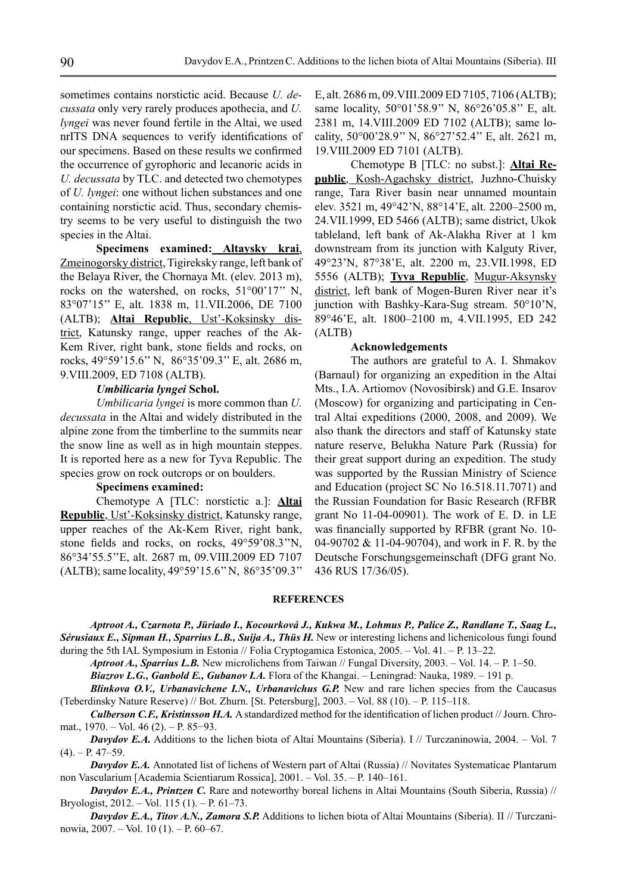sometimes contains norstictic acid. Because *U. decussata* only very rarely produces apothecia, and *U. lyngei* was never found fertile in the Altai, we used nrITS DNA sequences to verify identifications of our specimens. Based on these results we confirmed the occurrence of gyrophoric and lecanoric acids in *U. decussata* by TLC. and detected two chemotypes of *U. lyngei*: one without lichen substances and one containing norstictic acid. Thus, secondary chemistry seems to be very useful to distinguish the two species in the Altai.

**Specimens examined: Altaysky krai**, Zmeinogorsky district, Tigireksky range, left bank of the Belaya River, the Chornaya Mt. (elev. 2013 m), rocks on the watershed, on rocks, 51°00'17'' N, 83°07'15'' E, alt. 1838 m, 11.VII.2006, DE 7100 (ALTB); **Altai Republic**, Ust'-Koksinsky district, Katunsky range, upper reaches of the Ak-Kem River, right bank, stone fields and rocks, on rocks, 49°59'15.6'' N, 86°35'09.3'' E, alt. 2686 m, 9.VIII.2009, ED 7108 (ALTB).

## *Umbilicaria lyngei* **Schol.**

*Umbilicaria lyngei* is more common than *U. decussata* in the Altai and widely distributed in the alpine zone from the timberline to the summits near the snow line as well as in high mountain steppes. It is reported here as a new for Tyva Republic. The species grow on rock outcrops or on boulders.

## **Specimens examined:**

Chemotype A [TLC: norstictic a.]: **Altai Republic**, Ust'-Koksinsky district, Katunsky range, upper reaches of the Ak-Kem River, right bank, stone fields and rocks, on rocks, 49°59'08.3''N, 86°34'55.5''E, alt. 2687 m, 09.VIII.2009 ED 7107 (ALTB); same locality, 49°59'15.6'' N, 86°35'09.3''

E, alt. 2686 m, 09.VIII.2009 ED 7105, 7106 (ALTB); same locality, 50°01'58.9" N, 86°26'05.8" E, alt. 2381 m, 14.VIII.2009 ED 7102 (ALTB); same locality, 50°00'28.9'' N, 86°27'52.4'' E, alt. 2621 m, 19.VIII.2009 ED 7101 (ALTB).

Chemotype B [TLC: no subst.]: **Altai Republic**, Kosh-Agachsky district, Juzhno-Chuisky range, Tara River basin near unnamed mountain elev. 3521 m, 49°42'N, 88°14'E, alt. 2200–2500 m, 24.VII.1999, ED 5466 (ALTB); same district, Ukok tableland, left bank of Ak-Alakha River at 1 km downstream from its junction with Kalguty River, 49°23'N, 87°38'E, alt. 2200 m, 23.VII.1998, ED 5556 (ALTB); **Tyva Republic**, Mugur-Aksynsky district, left bank of Mogen-Buren River near it's junction with Bashky-Kara-Sug stream. 50°10'N, 89°46'E, alt. 1800–2100 m, 4.VII.1995, ED 242 (ALTB)

### **Acknowledgements**

The authors are grateful to A. I. Shmakov (Barnaul) for organizing an expedition in the Altai Mts., I.A. Artiomov (Novosibirsk) and G.E. Insarov (Moscow) for organizing and participating in Central Altai expeditions (2000, 2008, and 2009). We also thank the directors and staff of Katunsky state nature reserve, Belukha Nature Park (Russia) for their great support during an expedition. The study was supported by the Russian Ministry of Science and Education (project SC No 16.518.11.7071) and the Russian Foundation for Basic Research (RFBR grant No 11-04-00901). The work of E. D. in LE was financially supported by RFBR (grant No. 10-04-90702 & 11-04-90704), and work in F. R. by the Deutsche Forschungsgemeinschaft (DFG grant No. 436 RUS 17/36/05).

## **References**

*Aptroot A., Czarnota P., Jüriado I., Kocourková J., Kukwa M., Lohmus P., Palice Z., Randlane T., Saag L., Sérusiaux E., Sipman H., Sparrius L.B., Suija A., Thüs H.* New or interesting lichens and lichenicolous fungi found during the 5th IAL Symposium in Estonia // Folia Cryptogamica Estonica, 2005. – Vol. 41. – P. 13–22.

*Aptroot A., Sparrius L.B.* New microlichens from Taiwan // Fungal Diversity, 2003. – Vol. 14. – P. 1–50.

*Biazrov L.G., Ganbold E., Gubanov I.A.* Flora of the Khangai. – Leningrad: Nauka, 1989. – 191 p.

*Вlinkova О.V., Urbanavichene I.N., Urbanavichus G.P.* New and rare lichen species from the Caucasus (Teberdinsky Nature Reserve) // Bot. Zhurn. [St. Petersburg], 2003. – Vol. 88 (10). – P. 115–118.

*Culberson C.F., Kristinsson H.A.* A standardized method for the identification of lichen product // Journ. Chromat., 1970. – Vol. 46 (2). – P. 85−93.

*Davydov E.A.* Additions to the lichen biota of Altai Mountains (Siberia). I // Turczaninowia, 2004. – Vol. 7  $(4)$ . – P. 47–59.

*Davydov E.A.* Annotated list of lichens of Western part of Altai (Russia) // Novitates Systematicae Plantarum non Vascularium [Academia Scientiarum Rossica], 2001. – Vol. 35. – P. 140–161.

*Davydov E.A., Printzen C.* Rare and noteworthy boreal lichens in Altai Mountains (South Siberia, Russia) // Bryologist, 2012. – Vol. 115 (1). – P. 61–73.

*Davydov E.A., Titov A.N., Zamora S.P.* Additions to lichen biota of Altai Mountains (Siberia). II // Turczaninowia, 2007. – Vol. 10 (1). – P. 60–67.